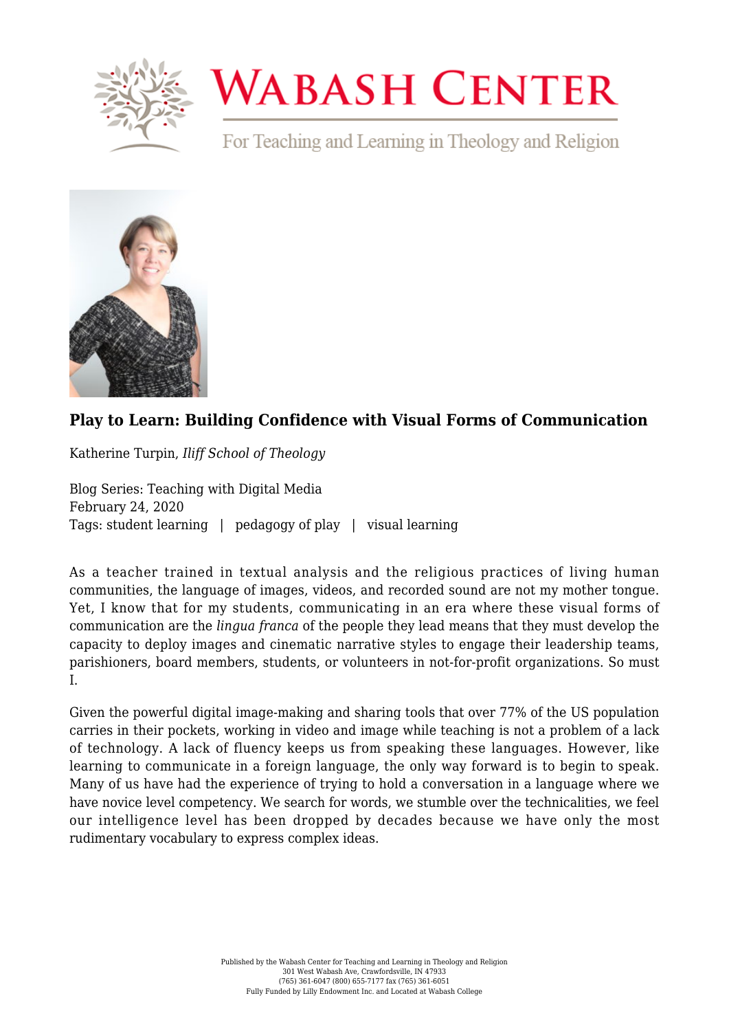

## **WABASH CENTER**

For Teaching and Learning in Theology and Religion



## **[Play to Learn: Building Confidence with Visual Forms of Communication](https://www.wabashcenter.wabash.edu/2020/02/play-to-learn-building-confidence-with-visual-forms-of-communication/)**

Katherine Turpin, *Iliff School of Theology*

Blog Series: Teaching with Digital Media February 24, 2020 Tags: student learning | pedagogy of play | visual learning

As a teacher trained in textual analysis and the religious practices of living human communities, the language of images, videos, and recorded sound are not my mother tongue. Yet, I know that for my students, communicating in an era where these visual forms of communication are the *lingua franca* of the people they lead means that they must develop the capacity to deploy images and cinematic narrative styles to engage their leadership teams, parishioners, board members, students, or volunteers in not-for-profit organizations. So must I.

Given the powerful digital image-making and sharing tools that over 77% of the US population carries in their pockets, working in video and image while teaching is not a problem of a lack of technology. A lack of fluency keeps us from speaking these languages. However, like learning to communicate in a foreign language, the only way forward is to begin to speak. Many of us have had the experience of trying to hold a conversation in a language where we have novice level competency. We search for words, we stumble over the technicalities, we feel our intelligence level has been dropped by decades because we have only the most rudimentary vocabulary to express complex ideas.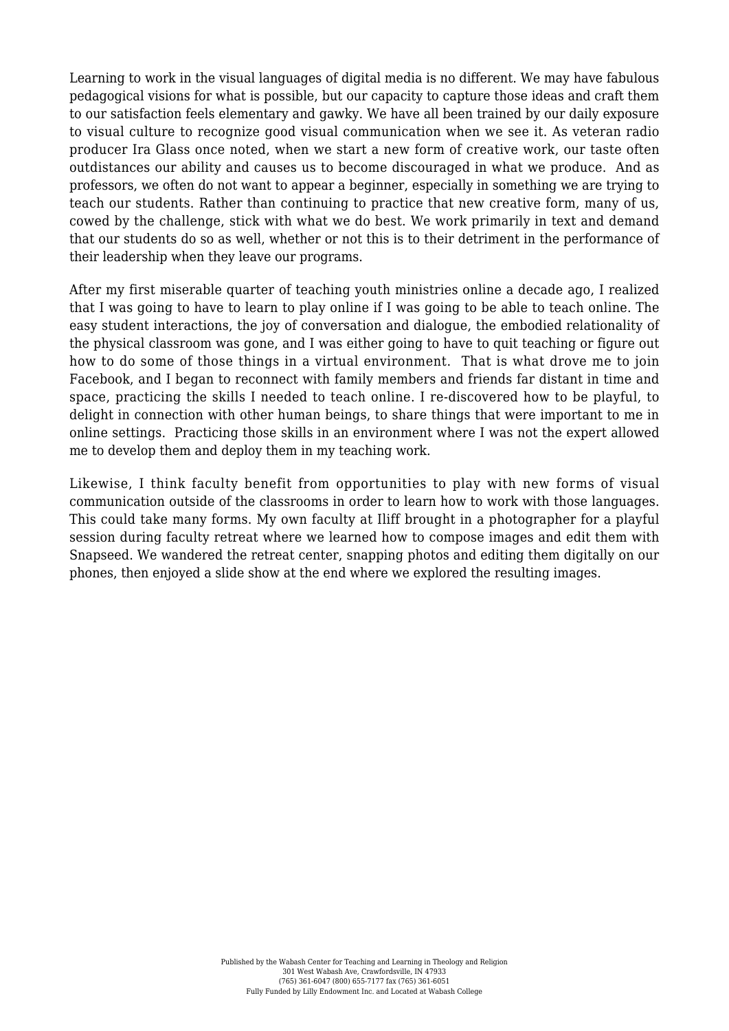Learning to work in the visual languages of digital media is no different. We may have fabulous pedagogical visions for what is possible, but our capacity to capture those ideas and craft them to our satisfaction feels elementary and gawky. We have all been trained by our daily exposure to visual culture to recognize good visual communication when we see it. As veteran radio producer [Ira Glass once noted](https://www.brainpickings.org/2014/01/29/ira-glass-success-daniel-sax/), when we start a new form of creative work, our taste often outdistances our ability and causes us to become discouraged in what we produce. And as professors, we often do not want to appear a beginner, especially in something we are trying to teach our students. Rather than continuing to practice that new creative form, many of us, cowed by the challenge, stick with what we do best. We work primarily in text and demand that our students do so as well, whether or not this is to their detriment in the performance of their leadership when they leave our programs.

After my first miserable quarter of teaching youth ministries online a decade ago, I realized that I was going to have to learn to play online if I was going to be able to teach online. The easy student interactions, the joy of conversation and dialogue, the embodied relationality of the physical classroom was gone, and I was either going to have to quit teaching or figure out how to do some of those things in a virtual environment. That is what drove me to join Facebook, and I began to reconnect with family members and friends far distant in time and space, practicing the skills I needed to teach online. I re-discovered how to be playful, to delight in connection with other human beings, to share things that were important to me in online settings. Practicing those skills in an environment where I was not the expert allowed me to develop them and deploy them in my teaching work.

Likewise, I think faculty benefit from opportunities to play with new forms of visual communication outside of the classrooms in order to learn how to work with those languages. This could take many forms. My own faculty at Iliff brought in a photographer for a playful session during faculty retreat where we learned how to compose images and edit them with Snapseed. We wandered the retreat center, snapping photos and editing them digitally on our phones, then enjoyed a slide show at the end where we explored the resulting images.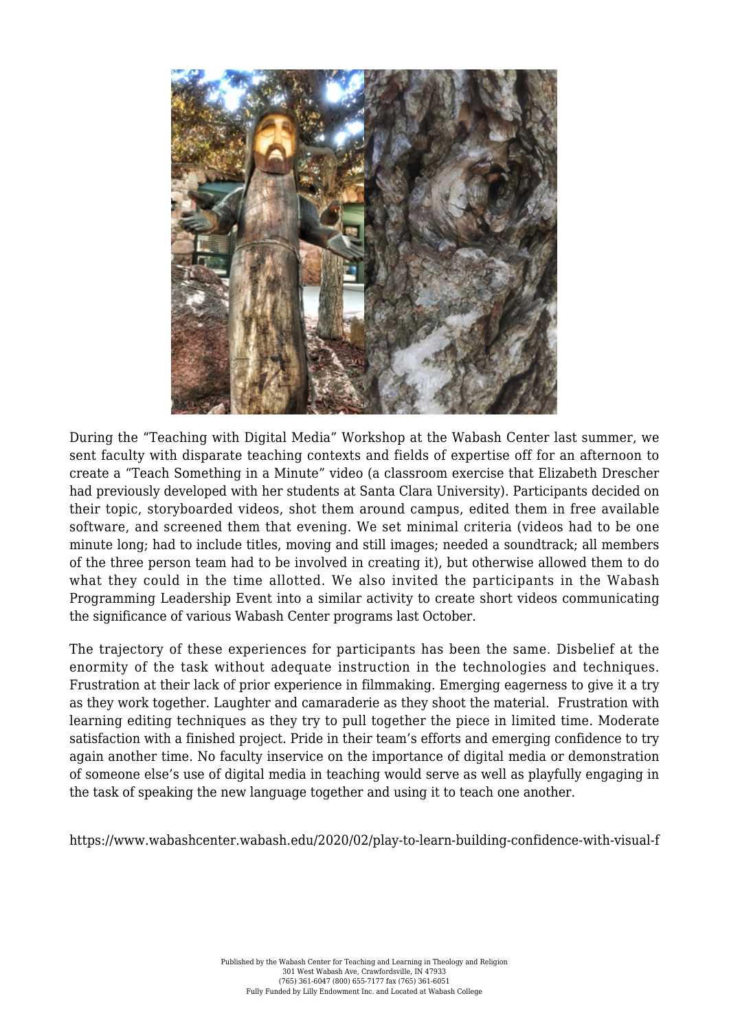

During the "Teaching with Digital Media" Workshop at the Wabash Center last summer, we sent faculty with disparate teaching contexts and fields of expertise off for an afternoon to create a "Teach Something in a Minute" video (a classroom exercise that Elizabeth Drescher had previously developed with her students at Santa Clara University). Participants decided on their topic, storyboarded videos, shot them around campus, edited them in free available software, and screened them that evening. We set minimal criteria (videos had to be one minute long; had to include titles, moving and still images; needed a soundtrack; all members of the three person team had to be involved in creating it), but otherwise allowed them to do what they could in the time allotted. We also invited the participants in the Wabash Programming Leadership Event into a similar activity to create short videos communicating the significance of various Wabash Center programs last October.

The trajectory of these experiences for participants has been the same. Disbelief at the enormity of the task without adequate instruction in the technologies and techniques. Frustration at their lack of prior experience in filmmaking. Emerging eagerness to give it a try as they work together. Laughter and camaraderie as they shoot the material. Frustration with learning editing techniques as they try to pull together the piece in limited time. Moderate satisfaction with a finished project. Pride in their team's efforts and emerging confidence to try again another time. No faculty inservice on the importance of digital media or demonstration of someone else's use of digital media in teaching would serve as well as playfully engaging in the task of speaking the new language together and using it to teach one another.

https://www.wabashcenter.wabash.edu/2020/02/play-to-learn-building-confidence-with-visual-f